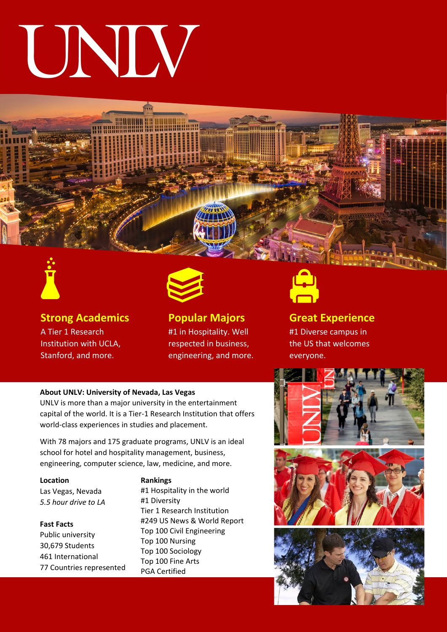# UNIV





**Strong Academics** A Tier 1 Research Institution with UCLA, Stanford, and more.



**Popular Majors** #1 in Hospitality. Well respected in business, engineering, and more.



**Great Experience** #1 Diverse campus in the US that welcomes everyone.

#### **About UNLV: University of Nevada, Las Vegas**

UNLV is more than a major university in the entertainment capital of the world. It is a Tier-1 Research Institution that offers world-class experiences in studies and placement.

With 78 majors and 175 graduate programs, UNLV is an ideal school for hotel and hospitality management, business, engineering, computer science, law, medicine, and more.

**Location**

Las Vegas, Nevada *5.5 hour drive to LA*

#### **Fast Facts**

Public university 30,679 Students 461 International 77 Countries represented

#### **Rankings**

#1 Hospitality in the world #1 Diversity Tier 1 Research Institution #249 US News & World Report Top 100 Civil Engineering Top 100 Nursing Top 100 Sociology Top 100 Fine Arts PGA Certified